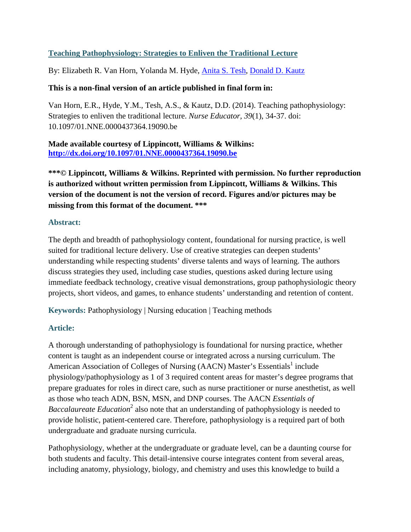# **Teaching Pathophysiology: Strategies to Enliven the Traditional Lecture**

By: Elizabeth R. Van Horn, Yolanda M. Hyde, [Anita S. Tesh,](http://libres.uncg.edu/ir/uncg/clist.aspx?id=1635) [Donald D. Kautz](http://libres.uncg.edu/ir/uncg/clist.aspx?id=1673)

### **This is a non-final version of an article published in final form in:**

Van Horn, E.R., Hyde, Y.M., Tesh, A.S., & Kautz, D.D. (2014). Teaching pathophysiology: Strategies to enliven the traditional lecture. *Nurse Educator, 39*(1), 34-37. doi: 10.1097/01.NNE.0000437364.19090.be

**Made available courtesy of Lippincott, Williams & Wilkins: <http://dx.doi.org/10.1097/01.NNE.0000437364.19090.be>**

**\*\*\*© Lippincott, Williams & Wilkins. Reprinted with permission. No further reproduction is authorized without written permission from Lippincott, Williams & Wilkins. This version of the document is not the version of record. Figures and/or pictures may be missing from this format of the document. \*\*\***

#### **Abstract:**

The depth and breadth of pathophysiology content, foundational for nursing practice, is well suited for traditional lecture delivery. Use of creative strategies can deepen students' understanding while respecting students' diverse talents and ways of learning. The authors discuss strategies they used, including case studies, questions asked during lecture using immediate feedback technology, creative visual demonstrations, group pathophysiologic theory projects, short videos, and games, to enhance students' understanding and retention of content.

**Keywords:** Pathophysiology | Nursing education | Teaching methods

# **Article:**

A thorough understanding of pathophysiology is foundational for nursing practice, whether content is taught as an independent course or integrated across a nursing curriculum. The American Association of Colleges of Nursing (AACN) Master's Essentials<sup>1</sup> include physiology/pathophysiology as 1 of 3 required content areas for master's degree programs that prepare graduates for roles in direct care, such as nurse practitioner or nurse anesthetist, as well as those who teach ADN, BSN, MSN, and DNP courses. The AACN *Essentials of Baccalaureate Education*<sup>2</sup> also note that an understanding of pathophysiology is needed to provide holistic, patient-centered care. Therefore, pathophysiology is a required part of both undergraduate and graduate nursing curricula.

Pathophysiology, whether at the undergraduate or graduate level, can be a daunting course for both students and faculty. This detail-intensive course integrates content from several areas, including anatomy, physiology, biology, and chemistry and uses this knowledge to build a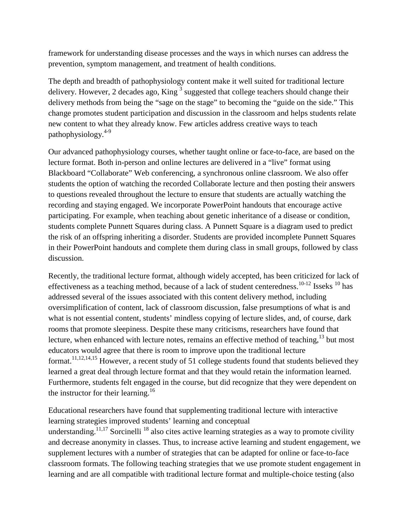framework for understanding disease processes and the ways in which nurses can address the prevention, symptom management, and treatment of health conditions.

The depth and breadth of pathophysiology content make it well suited for traditional lecture delivery. However, 2 decades ago, King  $3$  suggested that college teachers should change their delivery methods from being the "sage on the stage" to becoming the "guide on the side." This change promotes student participation and discussion in the classroom and helps students relate new content to what they already know. Few articles address creative ways to teach pathophysiology.4-9

Our advanced pathophysiology courses, whether taught online or face-to-face, are based on the lecture format. Both in-person and online lectures are delivered in a "live" format using Blackboard "Collaborate" Web conferencing, a synchronous online classroom. We also offer students the option of watching the recorded Collaborate lecture and then posting their answers to questions revealed throughout the lecture to ensure that students are actually watching the recording and staying engaged. We incorporate PowerPoint handouts that encourage active participating. For example, when teaching about genetic inheritance of a disease or condition, students complete Punnett Squares during class. A Punnett Square is a diagram used to predict the risk of an offspring inheriting a disorder. Students are provided incomplete Punnett Squares in their PowerPoint handouts and complete them during class in small groups, followed by class discussion.

Recently, the traditional lecture format, although widely accepted, has been criticized for lack of effectiveness as a teaching method, because of a lack of student centeredness.<sup>10-12</sup> Isseks<sup>10</sup> has addressed several of the issues associated with this content delivery method, including oversimplification of content, lack of classroom discussion, false presumptions of what is and what is not essential content, students' mindless copying of lecture slides, and, of course, dark rooms that promote sleepiness. Despite these many criticisms, researchers have found that lecture, when enhanced with lecture notes, remains an effective method of teaching,<sup>13</sup> but most educators would agree that there is room to improve upon the traditional lecture format.<sup>11,12,14,15</sup> However, a recent study of 51 college students found that students believed they learned a great deal through lecture format and that they would retain the information learned. Furthermore, students felt engaged in the course, but did recognize that they were dependent on the instructor for their learning.<sup>16</sup>

Educational researchers have found that supplementing traditional lecture with interactive learning strategies improved students' learning and conceptual understanding.<sup>11,17</sup> Sorcinelli<sup>18</sup> also cites active learning strategies as a way to promote civility and decrease anonymity in classes. Thus, to increase active learning and student engagement, we supplement lectures with a number of strategies that can be adapted for online or face-to-face classroom formats. The following teaching strategies that we use promote student engagement in learning and are all compatible with traditional lecture format and multiple-choice testing (also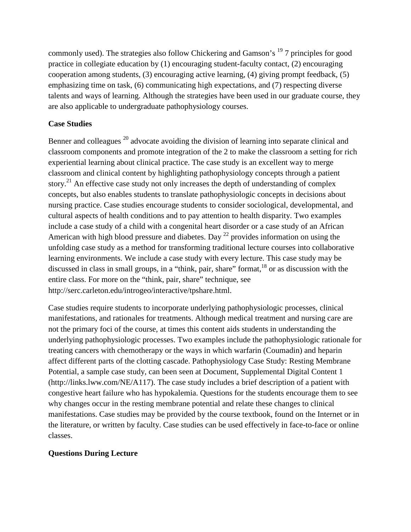commonly used). The strategies also follow Chickering and Gamson's <sup>19</sup> 7 principles for good practice in collegiate education by (1) encouraging student-faculty contact, (2) encouraging cooperation among students, (3) encouraging active learning, (4) giving prompt feedback, (5) emphasizing time on task, (6) communicating high expectations, and (7) respecting diverse talents and ways of learning. Although the strategies have been used in our graduate course, they are also applicable to undergraduate pathophysiology courses.

# **Case Studies**

Benner and colleagues <sup>20</sup> advocate avoiding the division of learning into separate clinical and classroom components and promote integration of the 2 to make the classroom a setting for rich experiential learning about clinical practice. The case study is an excellent way to merge classroom and clinical content by highlighting pathophysiology concepts through a patient story.<sup>21</sup> An effective case study not only increases the depth of understanding of complex concepts, but also enables students to translate pathophysiologic concepts in decisions about nursing practice. Case studies encourage students to consider sociological, developmental, and cultural aspects of health conditions and to pay attention to health disparity. Two examples include a case study of a child with a congenital heart disorder or a case study of an African American with high blood pressure and diabetes. Day  $^{22}$  provides information on using the unfolding case study as a method for transforming traditional lecture courses into collaborative learning environments. We include a case study with every lecture. This case study may be discussed in class in small groups, in a "think, pair, share" format,<sup>18</sup> or as discussion with the entire class. For more on the "think, pair, share" technique, see http://serc.carleton.edu/introgeo/interactive/tpshare.html.

Case studies require students to incorporate underlying pathophysiologic processes, clinical manifestations, and rationales for treatments. Although medical treatment and nursing care are not the primary foci of the course, at times this content aids students in understanding the underlying pathophysiologic processes. Two examples include the pathophysiologic rationale for treating cancers with chemotherapy or the ways in which warfarin (Coumadin) and heparin affect different parts of the clotting cascade. Pathophysiology Case Study: Resting Membrane Potential, a sample case study, can been seen at Document, Supplemental Digital Content 1 (http://links.lww.com/NE/A117). The case study includes a brief description of a patient with congestive heart failure who has hypokalemia. Questions for the students encourage them to see why changes occur in the resting membrane potential and relate these changes to clinical manifestations. Case studies may be provided by the course textbook, found on the Internet or in the literature, or written by faculty. Case studies can be used effectively in face-to-face or online classes.

# **Questions During Lecture**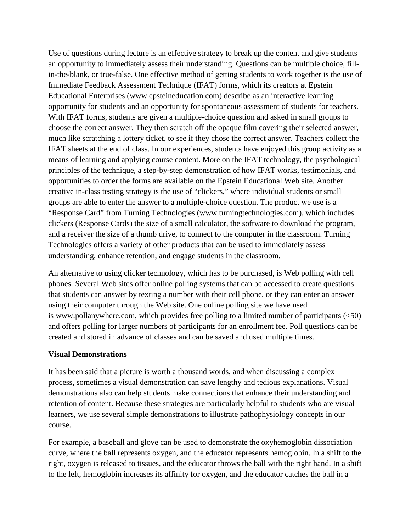Use of questions during lecture is an effective strategy to break up the content and give students an opportunity to immediately assess their understanding. Questions can be multiple choice, fillin-the-blank, or true-false. One effective method of getting students to work together is the use of Immediate Feedback Assessment Technique (IFAT) forms, which its creators at Epstein Educational Enterprises (www.epsteineducation.com) describe as an interactive learning opportunity for students and an opportunity for spontaneous assessment of students for teachers. With IFAT forms, students are given a multiple-choice question and asked in small groups to choose the correct answer. They then scratch off the opaque film covering their selected answer, much like scratching a lottery ticket, to see if they chose the correct answer. Teachers collect the IFAT sheets at the end of class. In our experiences, students have enjoyed this group activity as a means of learning and applying course content. More on the IFAT technology, the psychological principles of the technique, a step-by-step demonstration of how IFAT works, testimonials, and opportunities to order the forms are available on the Epstein Educational Web site. Another creative in-class testing strategy is the use of "clickers," where individual students or small groups are able to enter the answer to a multiple-choice question. The product we use is a "Response Card" from Turning Technologies (www.turningtechnologies.com), which includes clickers (Response Cards) the size of a small calculator, the software to download the program, and a receiver the size of a thumb drive, to connect to the computer in the classroom. Turning Technologies offers a variety of other products that can be used to immediately assess understanding, enhance retention, and engage students in the classroom.

An alternative to using clicker technology, which has to be purchased, is Web polling with cell phones. Several Web sites offer online polling systems that can be accessed to create questions that students can answer by texting a number with their cell phone, or they can enter an answer using their computer through the Web site. One online polling site we have used is www.pollanywhere.com, which provides free polling to a limited number of participants  $(\leq 50)$ and offers polling for larger numbers of participants for an enrollment fee. Poll questions can be created and stored in advance of classes and can be saved and used multiple times.

#### **Visual Demonstrations**

It has been said that a picture is worth a thousand words, and when discussing a complex process, sometimes a visual demonstration can save lengthy and tedious explanations. Visual demonstrations also can help students make connections that enhance their understanding and retention of content. Because these strategies are particularly helpful to students who are visual learners, we use several simple demonstrations to illustrate pathophysiology concepts in our course.

For example, a baseball and glove can be used to demonstrate the oxyhemoglobin dissociation curve, where the ball represents oxygen, and the educator represents hemoglobin. In a shift to the right, oxygen is released to tissues, and the educator throws the ball with the right hand. In a shift to the left, hemoglobin increases its affinity for oxygen, and the educator catches the ball in a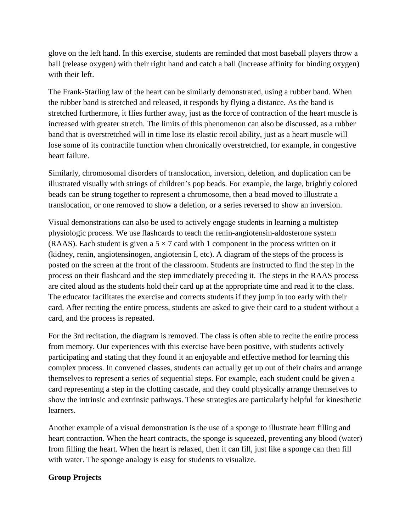glove on the left hand. In this exercise, students are reminded that most baseball players throw a ball (release oxygen) with their right hand and catch a ball (increase affinity for binding oxygen) with their left.

The Frank-Starling law of the heart can be similarly demonstrated, using a rubber band. When the rubber band is stretched and released, it responds by flying a distance. As the band is stretched furthermore, it flies further away, just as the force of contraction of the heart muscle is increased with greater stretch. The limits of this phenomenon can also be discussed, as a rubber band that is overstretched will in time lose its elastic recoil ability, just as a heart muscle will lose some of its contractile function when chronically overstretched, for example, in congestive heart failure.

Similarly, chromosomal disorders of translocation, inversion, deletion, and duplication can be illustrated visually with strings of children's pop beads. For example, the large, brightly colored beads can be strung together to represent a chromosome, then a bead moved to illustrate a translocation, or one removed to show a deletion, or a series reversed to show an inversion.

Visual demonstrations can also be used to actively engage students in learning a multistep physiologic process. We use flashcards to teach the renin-angiotensin-aldosterone system (RAAS). Each student is given a  $5 \times 7$  card with 1 component in the process written on it (kidney, renin, angiotensinogen, angiotensin I, etc). A diagram of the steps of the process is posted on the screen at the front of the classroom. Students are instructed to find the step in the process on their flashcard and the step immediately preceding it. The steps in the RAAS process are cited aloud as the students hold their card up at the appropriate time and read it to the class. The educator facilitates the exercise and corrects students if they jump in too early with their card. After reciting the entire process, students are asked to give their card to a student without a card, and the process is repeated.

For the 3rd recitation, the diagram is removed. The class is often able to recite the entire process from memory. Our experiences with this exercise have been positive, with students actively participating and stating that they found it an enjoyable and effective method for learning this complex process. In convened classes, students can actually get up out of their chairs and arrange themselves to represent a series of sequential steps. For example, each student could be given a card representing a step in the clotting cascade, and they could physically arrange themselves to show the intrinsic and extrinsic pathways. These strategies are particularly helpful for kinesthetic learners.

Another example of a visual demonstration is the use of a sponge to illustrate heart filling and heart contraction. When the heart contracts, the sponge is squeezed, preventing any blood (water) from filling the heart. When the heart is relaxed, then it can fill, just like a sponge can then fill with water. The sponge analogy is easy for students to visualize.

# **Group Projects**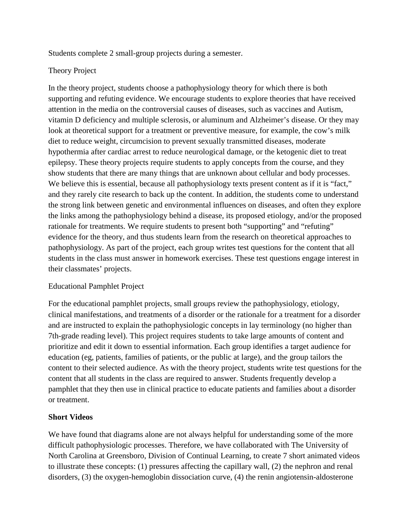Students complete 2 small-group projects during a semester.

### Theory Project

In the theory project, students choose a pathophysiology theory for which there is both supporting and refuting evidence. We encourage students to explore theories that have received attention in the media on the controversial causes of diseases, such as vaccines and Autism, vitamin D deficiency and multiple sclerosis, or aluminum and Alzheimer's disease. Or they may look at theoretical support for a treatment or preventive measure, for example, the cow's milk diet to reduce weight, circumcision to prevent sexually transmitted diseases, moderate hypothermia after cardiac arrest to reduce neurological damage, or the ketogenic diet to treat epilepsy. These theory projects require students to apply concepts from the course, and they show students that there are many things that are unknown about cellular and body processes. We believe this is essential, because all pathophysiology texts present content as if it is "fact," and they rarely cite research to back up the content. In addition, the students come to understand the strong link between genetic and environmental influences on diseases, and often they explore the links among the pathophysiology behind a disease, its proposed etiology, and/or the proposed rationale for treatments. We require students to present both "supporting" and "refuting" evidence for the theory, and thus students learn from the research on theoretical approaches to pathophysiology. As part of the project, each group writes test questions for the content that all students in the class must answer in homework exercises. These test questions engage interest in their classmates' projects.

# Educational Pamphlet Project

For the educational pamphlet projects, small groups review the pathophysiology, etiology, clinical manifestations, and treatments of a disorder or the rationale for a treatment for a disorder and are instructed to explain the pathophysiologic concepts in lay terminology (no higher than 7th-grade reading level). This project requires students to take large amounts of content and prioritize and edit it down to essential information. Each group identifies a target audience for education (eg, patients, families of patients, or the public at large), and the group tailors the content to their selected audience. As with the theory project, students write test questions for the content that all students in the class are required to answer. Students frequently develop a pamphlet that they then use in clinical practice to educate patients and families about a disorder or treatment.

# **Short Videos**

We have found that diagrams alone are not always helpful for understanding some of the more difficult pathophysiologic processes. Therefore, we have collaborated with The University of North Carolina at Greensboro, Division of Continual Learning, to create 7 short animated videos to illustrate these concepts: (1) pressures affecting the capillary wall, (2) the nephron and renal disorders, (3) the oxygen-hemoglobin dissociation curve, (4) the renin angiotensin-aldosterone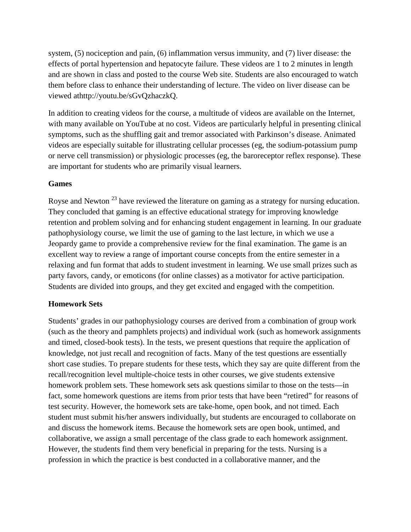system, (5) nociception and pain, (6) inflammation versus immunity, and (7) liver disease: the effects of portal hypertension and hepatocyte failure. These videos are 1 to 2 minutes in length and are shown in class and posted to the course Web site. Students are also encouraged to watch them before class to enhance their understanding of lecture. The video on liver disease can be viewed athttp://youtu.be/sGvQzhaczkQ.

In addition to creating videos for the course, a multitude of videos are available on the Internet, with many available on YouTube at no cost. Videos are particularly helpful in presenting clinical symptoms, such as the shuffling gait and tremor associated with Parkinson's disease. Animated videos are especially suitable for illustrating cellular processes (eg, the sodium-potassium pump or nerve cell transmission) or physiologic processes (eg, the baroreceptor reflex response). These are important for students who are primarily visual learners.

#### **Games**

Royse and Newton<sup>23</sup> have reviewed the literature on gaming as a strategy for nursing education. They concluded that gaming is an effective educational strategy for improving knowledge retention and problem solving and for enhancing student engagement in learning. In our graduate pathophysiology course, we limit the use of gaming to the last lecture, in which we use a Jeopardy game to provide a comprehensive review for the final examination. The game is an excellent way to review a range of important course concepts from the entire semester in a relaxing and fun format that adds to student investment in learning. We use small prizes such as party favors, candy, or emoticons (for online classes) as a motivator for active participation. Students are divided into groups, and they get excited and engaged with the competition.

# **Homework Sets**

Students' grades in our pathophysiology courses are derived from a combination of group work (such as the theory and pamphlets projects) and individual work (such as homework assignments and timed, closed-book tests). In the tests, we present questions that require the application of knowledge, not just recall and recognition of facts. Many of the test questions are essentially short case studies. To prepare students for these tests, which they say are quite different from the recall/recognition level multiple-choice tests in other courses, we give students extensive homework problem sets. These homework sets ask questions similar to those on the tests—in fact, some homework questions are items from prior tests that have been "retired" for reasons of test security. However, the homework sets are take-home, open book, and not timed. Each student must submit his/her answers individually, but students are encouraged to collaborate on and discuss the homework items. Because the homework sets are open book, untimed, and collaborative, we assign a small percentage of the class grade to each homework assignment. However, the students find them very beneficial in preparing for the tests. Nursing is a profession in which the practice is best conducted in a collaborative manner, and the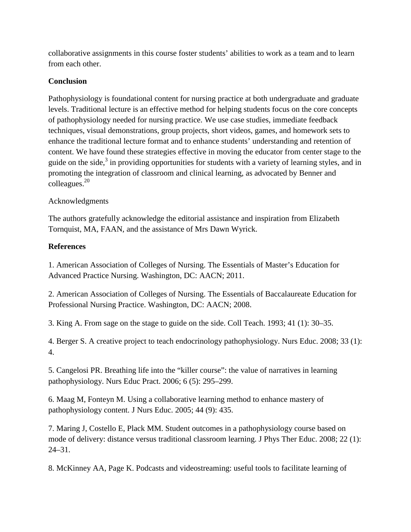collaborative assignments in this course foster students' abilities to work as a team and to learn from each other.

# **Conclusion**

Pathophysiology is foundational content for nursing practice at both undergraduate and graduate levels. Traditional lecture is an effective method for helping students focus on the core concepts of pathophysiology needed for nursing practice. We use case studies, immediate feedback techniques, visual demonstrations, group projects, short videos, games, and homework sets to enhance the traditional lecture format and to enhance students' understanding and retention of content. We have found these strategies effective in moving the educator from center stage to the guide on the side,<sup>3</sup> in providing opportunities for students with a variety of learning styles, and in promoting the integration of classroom and clinical learning, as advocated by Benner and colleagues.20

# Acknowledgments

The authors gratefully acknowledge the editorial assistance and inspiration from Elizabeth Tornquist, MA, FAAN, and the assistance of Mrs Dawn Wyrick.

# **References**

1. American Association of Colleges of Nursing. The Essentials of Master's Education for Advanced Practice Nursing. Washington, DC: AACN; 2011.

2. American Association of Colleges of Nursing. The Essentials of Baccalaureate Education for Professional Nursing Practice. Washington, DC: AACN; 2008.

3. King A. From sage on the stage to guide on the side. Coll Teach. 1993; 41 (1): 30–35.

4. Berger S. A creative project to teach endocrinology pathophysiology. Nurs Educ. 2008; 33 (1): 4.

5. Cangelosi PR. Breathing life into the "killer course": the value of narratives in learning pathophysiology. Nurs Educ Pract. 2006; 6 (5): 295–299.

6. Maag M, Fonteyn M. Using a collaborative learning method to enhance mastery of pathophysiology content. J Nurs Educ. 2005; 44 (9): 435.

7. Maring J, Costello E, Plack MM. Student outcomes in a pathophysiology course based on mode of delivery: distance versus traditional classroom learning. J Phys Ther Educ. 2008; 22 (1): 24–31.

8. McKinney AA, Page K. Podcasts and videostreaming: useful tools to facilitate learning of